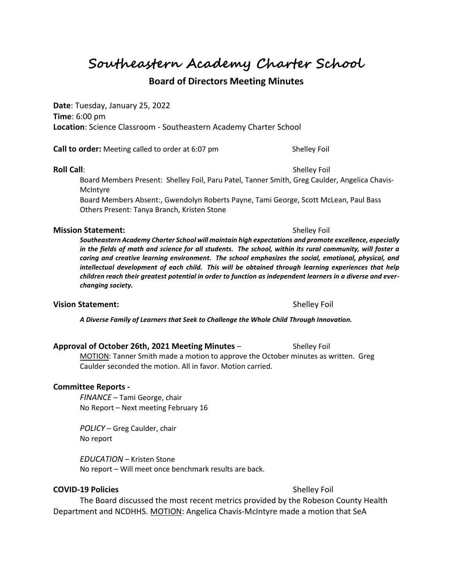**Southeastern Academy Charter School**

# **Board of Directors Meeting Minutes**

**Date**: Tuesday, January 25, 2022 **Time**: 6:00 pm **Location**: Science Classroom - Southeastern Academy Charter School

**Call to order:** Meeting called to order at 6:07 pm Shelley Foil

## **Roll Call**: Shelley Foil

Board Members Present: Shelley Foil, Paru Patel, Tanner Smith, Greg Caulder, Angelica Chavis-McIntyre

Board Members Absent:, Gwendolyn Roberts Payne, Tami George, Scott McLean, Paul Bass Others Present: Tanya Branch, Kristen Stone

## **Mission Statement:**  $\qquad \qquad$  Shelley Foil

*Southeastern Academy Charter School will maintain high expectations and promote excellence, especially in the fields of math and science for all students. The school, within its rural community, will foster a caring and creative learning environment. The school emphasizes the social, emotional, physical, and intellectual development of each child. This will be obtained through learning experiences that help children reach their greatest potential in order to function as independent learners in a diverse and everchanging society.*

## **Vision Statement:**  $\qquad \qquad$  Shelley Foil

*A Diverse Family of Learners that Seek to Challenge the Whole Child Through Innovation.*

## **Approval of October 26th, 2021 Meeting Minutes** – Shelley Foil

MOTION: Tanner Smith made a motion to approve the October minutes as written. Greg Caulder seconded the motion. All in favor. Motion carried.

## **Committee Reports -**

*FINANCE* – Tami George, chair No Report – Next meeting February 16

*POLICY* – Greg Caulder, chair No report

*EDUCATION* – Kristen Stone No report – Will meet once benchmark results are back.

## **COVID-19 Policies** Shelley Foil

The Board discussed the most recent metrics provided by the Robeson County Health Department and NCDHHS. MOTION: Angelica Chavis-McIntyre made a motion that SeA